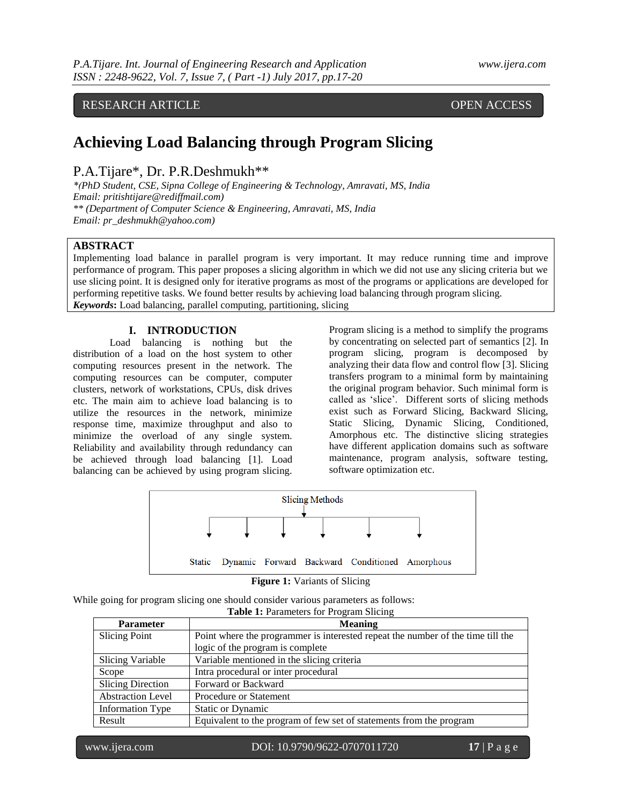# RESEARCH ARTICLE OPEN ACCESS

# **Achieving Load Balancing through Program Slicing**

P.A.Tijare\*, Dr. P.R.Deshmukh\*\*

*\*(PhD Student, CSE, Sipna College of Engineering & Technology, Amravati, MS, India Email: pritishtijare@rediffmail.com) \*\* (Department of Computer Science & Engineering, Amravati, MS, India Email: pr\_deshmukh@yahoo.com)*

# **ABSTRACT**

Implementing load balance in parallel program is very important. It may reduce running time and improve performance of program. This paper proposes a slicing algorithm in which we did not use any slicing criteria but we use slicing point. It is designed only for iterative programs as most of the programs or applications are developed for performing repetitive tasks. We found better results by achieving load balancing through program slicing. *Keywords***:** Load balancing, parallel computing, partitioning, slicing

# **I. INTRODUCTION**

Load balancing is nothing but the distribution of a load on the host system to other computing resources present in the network. The computing resources can be computer, computer clusters, network of workstations, CPUs, disk drives etc. The main aim to achieve load balancing is to utilize the resources in the network, minimize response time, maximize throughput and also to minimize the overload of any single system. Reliability and availability through redundancy can be achieved through load balancing [1]. Load balancing can be achieved by using program slicing. Program slicing is a method to simplify the programs by concentrating on selected part of semantics [2]. In program slicing, program is decomposed by analyzing their data flow and control flow [3]. Slicing transfers program to a minimal form by maintaining the original program behavior. Such minimal form is called as 'slice'. Different sorts of slicing methods exist such as Forward Slicing, Backward Slicing, Static Slicing, Dynamic Slicing, Conditioned, Amorphous etc. The distinctive slicing strategies have different application domains such as software maintenance, program analysis, software testing, software optimization etc.



**Figure 1:** Variants of Slicing

While going for program slicing one should consider various parameters as follows:

| <b>Table 1: Parameters for Program Slicing</b> |                                                                                 |
|------------------------------------------------|---------------------------------------------------------------------------------|
| <b>Parameter</b>                               | <b>Meaning</b>                                                                  |
| <b>Slicing Point</b>                           | Point where the programmer is interested repeat the number of the time till the |
|                                                | logic of the program is complete                                                |
| <b>Slicing Variable</b>                        | Variable mentioned in the slicing criteria                                      |
| Scope                                          | Intra procedural or inter procedural                                            |
| <b>Slicing Direction</b>                       | Forward or Backward                                                             |
| <b>Abstraction Level</b>                       | Procedure or Statement                                                          |
| <b>Information Type</b>                        | <b>Static or Dynamic</b>                                                        |
| Result                                         | Equivalent to the program of few set of statements from the program             |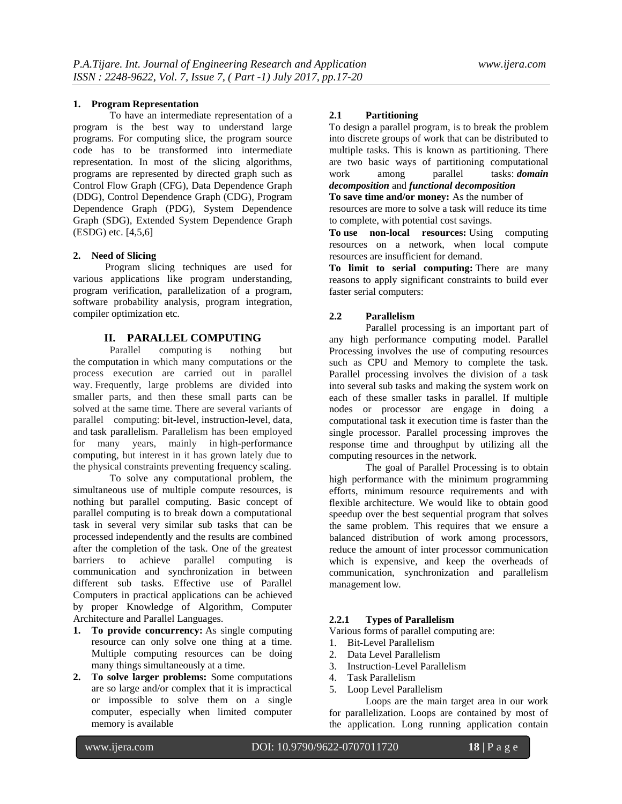#### **1. Program Representation**

To have an intermediate representation of a program is the best way to understand large programs. For computing slice, the program source code has to be transformed into intermediate representation. In most of the slicing algorithms, programs are represented by directed graph such as Control Flow Graph (CFG), Data Dependence Graph (DDG), Control Dependence Graph (CDG), Program Dependence Graph (PDG), System Dependence Graph (SDG), Extended System Dependence Graph (ESDG) etc. [4,5,6]

# **2. Need of Slicing**

Program slicing techniques are used for various applications like program understanding, program verification, parallelization of a program, software probability analysis, program integration, compiler optimization etc.

#### **II. PARALLEL COMPUTING**

Parallel computing is nothing but the computation in which many computations or the process execution are carried out in parallel way. Frequently, large problems are divided into smaller parts, and then these small parts can be solved at the same time. There are several variants of parallel computing: bit-level, instruction-level, data, and task parallelism. Parallelism has been employed for many years, mainly in high-performance computing, but interest in it has grown lately due to the physical constraints preventing frequency scaling.

To solve any computational problem, the simultaneous use of multiple compute resources, is nothing but parallel computing. Basic concept of parallel computing is to break down a computational task in several very similar sub tasks that can be processed independently and the results are combined after the completion of the task. One of the greatest barriers to achieve parallel computing is communication and synchronization in between different sub tasks. Effective use of Parallel Computers in practical applications can be achieved by proper Knowledge of Algorithm, Computer Architecture and Parallel Languages.

- **1. To provide concurrency:** As single computing resource can only solve one thing at a time. Multiple computing resources can be doing many things simultaneously at a time.
- **2. To solve larger problems:** Some computations are so large and/or complex that it is impractical or impossible to solve them on a single computer, especially when limited computer memory is available

#### **2.1 Partitioning**

To design a parallel program, is to break the problem into discrete groups of work that can be distributed to multiple tasks. This is known as partitioning. There are two basic ways of partitioning computational work among parallel tasks: *domain decomposition* and *functional decomposition*

#### **To save time and/or money:** As the number of

resources are more to solve a task will reduce its time to complete, with potential cost savings.

**To use non-local resources:** Using computing resources on a network, when local compute resources are insufficient for demand.

**To limit to serial computing:** There are many reasons to apply significant constraints to build ever faster serial computers:

#### **2.2 Parallelism**

Parallel processing is an important part of any high performance computing model. Parallel Processing involves the use of computing resources such as CPU and Memory to complete the task. Parallel processing involves the division of a task into several sub tasks and making the system work on each of these smaller tasks in parallel. If multiple nodes or processor are engage in doing a computational task it execution time is faster than the single processor. Parallel processing improves the response time and throughput by utilizing all the computing resources in the network.

The goal of Parallel Processing is to obtain high performance with the minimum programming efforts, minimum resource requirements and with flexible architecture. We would like to obtain good speedup over the best sequential program that solves the same problem. This requires that we ensure a balanced distribution of work among processors, reduce the amount of inter processor communication which is expensive, and keep the overheads of communication, synchronization and parallelism management low.

# **2.2.1 Types of Parallelism**

Various forms of parallel computing are:

- 1. Bit-Level Parallelism
- 2. Data Level Parallelism
- 3. Instruction-Level Parallelism
- 4. Task Parallelism
- 5. Loop Level Parallelism

Loops are the main target area in our work for parallelization. Loops are contained by most of the application. Long running application contain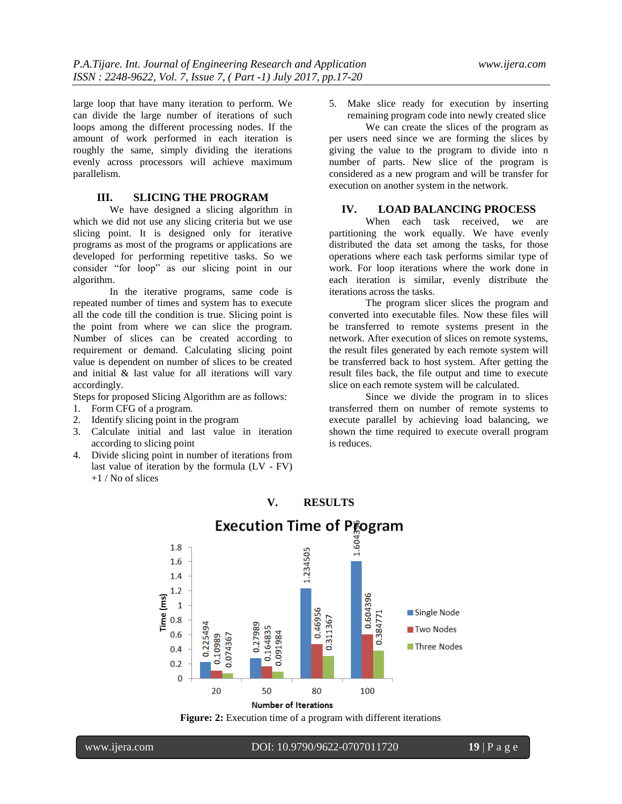large loop that have many iteration to perform. We can divide the large number of iterations of such loops among the different processing nodes. If the amount of work performed in each iteration is roughly the same, simply dividing the iterations evenly across processors will achieve maximum parallelism.

# **III. SLICING THE PROGRAM**

We have designed a slicing algorithm in which we did not use any slicing criteria but we use slicing point. It is designed only for iterative programs as most of the programs or applications are developed for performing repetitive tasks. So we consider "for loop" as our slicing point in our algorithm.

In the iterative programs, same code is repeated number of times and system has to execute all the code till the condition is true. Slicing point is the point from where we can slice the program. Number of slices can be created according to requirement or demand. Calculating slicing point value is dependent on number of slices to be created and initial & last value for all iterations will vary accordingly.

Steps for proposed Slicing Algorithm are as follows:

- 1. Form CFG of a program.
- 2. Identify slicing point in the program
- 3. Calculate initial and last value in iteration according to slicing point
- 4. Divide slicing point in number of iterations from last value of iteration by the formula (LV - FV) +1 / No of slices

5. Make slice ready for execution by inserting remaining program code into newly created slice

We can create the slices of the program as per users need since we are forming the slices by giving the value to the program to divide into n number of parts. New slice of the program is considered as a new program and will be transfer for execution on another system in the network.

### **IV. LOAD BALANCING PROCESS**

When each task received, we are partitioning the work equally. We have evenly distributed the data set among the tasks, for those operations where each task performs similar type of work. For loop iterations where the work done in each iteration is similar, evenly distribute the iterations across the tasks.

The program slicer slices the program and converted into executable files. Now these files will be transferred to remote systems present in the network. After execution of slices on remote systems, the result files generated by each remote system will be transferred back to host system. After getting the result files back, the file output and time to execute slice on each remote system will be calculated.

Since we divide the program in to slices transferred them on number of remote systems to execute parallel by achieving load balancing, we shown the time required to execute overall program is reduces.



# **V. RESULTS Execution Time of Program**

**Figure: 2:** Execution time of a program with different iterations